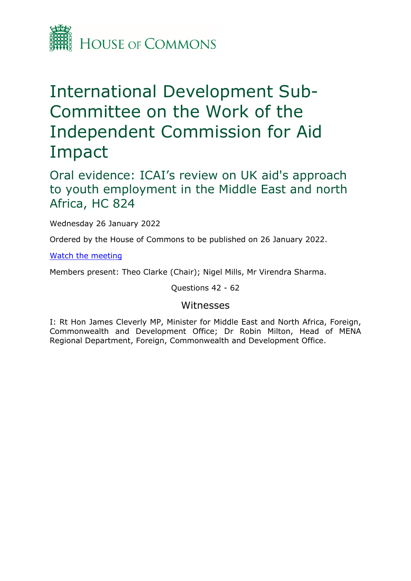

## International Development Sub-Committee on the Work of the Independent Commission for Aid Impact

Oral evidence: ICAI's review on UK aid's approach to youth employment in the Middle East and north Africa, HC 824

Wednesday 26 January 2022

Ordered by the House of Commons to be published on 26 January 2022.

[Watch](https://www.parliamentlive.tv/Event/Index/294465c4-6318-4f5b-9b84-49100e0c784b) [the](https://www.parliamentlive.tv/Event/Index/294465c4-6318-4f5b-9b84-49100e0c784b) [meeting](https://www.parliamentlive.tv/Event/Index/294465c4-6318-4f5b-9b84-49100e0c784b)

Members present: Theo Clarke (Chair); Nigel Mills, Mr Virendra Sharma.

Questions 42 - 62

## Witnesses

I: Rt Hon James Cleverly MP, Minister for Middle East and North Africa, Foreign, Commonwealth and Development Office; Dr Robin Milton, Head of MENA Regional Department, Foreign, Commonwealth and Development Office.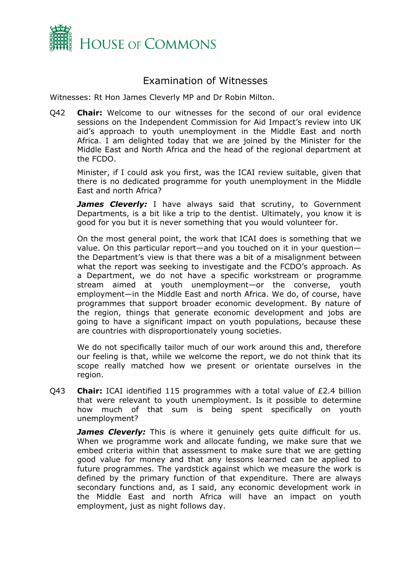

## Examination of Witnesses

Witnesses: Rt Hon James Cleverly MP and Dr Robin Milton.

Q42 **Chair:** Welcome to our witnesses for the second of our oral evidence sessions on the Independent Commission for Aid Impact's review into UK aid's approach to youth unemployment in the Middle East and north Africa. I am delighted today that we are joined by the Minister for the Middle East and North Africa and the head of the regional department at the FCDO.

Minister, if I could ask you first, was the ICAI review suitable, given that there is no dedicated programme for youth unemployment in the Middle East and north Africa?

**James Cleverly:** I have always said that scrutiny, to Government Departments, is a bit like a trip to the dentist. Ultimately, you know it is good for you but it is never something that you would volunteer for.

On the most general point, the work that ICAI does is something that we value. On this particular report—and you touched on it in your question the Department's view is that there was a bit of a misalignment between what the report was seeking to investigate and the FCDO's approach. As a Department, we do not have a specific workstream or programme stream aimed at youth unemployment—or the converse, youth employment—in the Middle East and north Africa. We do, of course, have programmes that support broader economic development. By nature of the region, things that generate economic development and jobs are going to have a significant impact on youth populations, because these are countries with disproportionately young societies.

We do not specifically tailor much of our work around this and, therefore our feeling is that, while we welcome the report, we do not think that its scope really matched how we present or orientate ourselves in the region.

Q43 **Chair:** ICAI identified 115 programmes with a total value of £2.4 billion that were relevant to youth unemployment. Is it possible to determine how much of that sum is being spent specifically on youth unemployment?

*James Cleverly:* This is where it genuinely gets quite difficult for us. When we programme work and allocate funding, we make sure that we embed criteria within that assessment to make sure that we are getting good value for money and that any lessons learned can be applied to future programmes. The yardstick against which we measure the work is defined by the primary function of that expenditure. There are always secondary functions and, as I said, any economic development work in the Middle East and north Africa will have an impact on youth employment, just as night follows day.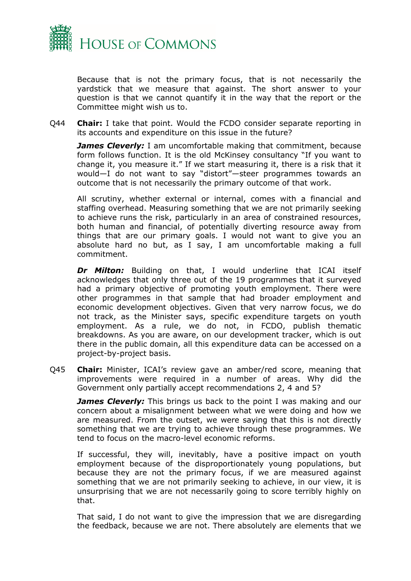

Because that is not the primary focus, that is not necessarily the yardstick that we measure that against. The short answer to your question is that we cannot quantify it in the way that the report or the Committee might wish us to.

Q44 **Chair:** I take that point. Would the FCDO consider separate reporting in its accounts and expenditure on this issue in the future?

*James Cleverly: I am uncomfortable making that commitment, because* form follows function. It is the old McKinsey consultancy "If you want to change it, you measure it." If we start measuring it, there is a risk that it would—I do not want to say "distort"—steer programmes towards an outcome that is not necessarily the primary outcome of that work.

All scrutiny, whether external or internal, comes with a financial and staffing overhead. Measuring something that we are not primarily seeking to achieve runs the risk, particularly in an area of constrained resources, both human and financial, of potentially diverting resource away from things that are our primary goals. I would not want to give you an absolute hard no but, as I say, I am uncomfortable making a full commitment.

*Dr Milton:* Building on that, I would underline that ICAI itself acknowledges that only three out of the 19 programmes that it surveyed had a primary objective of promoting youth employment. There were other programmes in that sample that had broader employment and economic development objectives. Given that very narrow focus, we do not track, as the Minister says, specific expenditure targets on youth employment. As a rule, we do not, in FCDO, publish thematic breakdowns. As you are aware, on our development tracker, which is out there in the public domain, all this expenditure data can be accessed on a project-by-project basis.

Q45 **Chair:** Minister, ICAI's review gave an amber/red score, meaning that improvements were required in a number of areas. Why did the Government only partially accept recommendations 2, 4 and 5?

*James Cleverly:* This brings us back to the point I was making and our concern about a misalignment between what we were doing and how we are measured. From the outset, we were saying that this is not directly something that we are trying to achieve through these programmes. We tend to focus on the macro-level economic reforms.

If successful, they will, inevitably, have a positive impact on youth employment because of the disproportionately young populations, but because they are not the primary focus, if we are measured against something that we are not primarily seeking to achieve, in our view, it is unsurprising that we are not necessarily going to score terribly highly on that.

That said, I do not want to give the impression that we are disregarding the feedback, because we are not. There absolutely are elements that we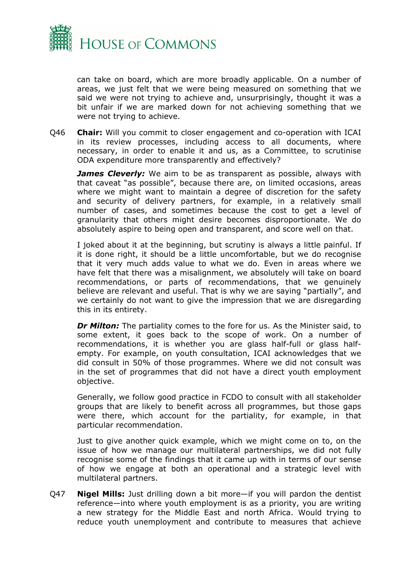

can take on board, which are more broadly applicable. On a number of areas, we just felt that we were being measured on something that we said we were not trying to achieve and, unsurprisingly, thought it was a bit unfair if we are marked down for not achieving something that we were not trying to achieve.

Q46 **Chair:** Will you commit to closer engagement and co-operation with ICAI in its review processes, including access to all documents, where necessary, in order to enable it and us, as a Committee, to scrutinise ODA expenditure more transparently and effectively?

*James Cleverly:* We aim to be as transparent as possible, always with that caveat "as possible", because there are, on limited occasions, areas where we might want to maintain a degree of discretion for the safety and security of delivery partners, for example, in a relatively small number of cases, and sometimes because the cost to get a level of granularity that others might desire becomes disproportionate. We do absolutely aspire to being open and transparent, and score well on that.

I joked about it at the beginning, but scrutiny is always a little painful. If it is done right, it should be a little uncomfortable, but we do recognise that it very much adds value to what we do. Even in areas where we have felt that there was a misalignment, we absolutely will take on board recommendations, or parts of recommendations, that we genuinely believe are relevant and useful. That is why we are saying "partially", and we certainly do not want to give the impression that we are disregarding this in its entirety.

*Dr Milton:* The partiality comes to the fore for us. As the Minister said, to some extent, it goes back to the scope of work. On a number of recommendations, it is whether you are glass half-full or glass halfempty. For example, on youth consultation, ICAI acknowledges that we did consult in 50% of those programmes. Where we did not consult was in the set of programmes that did not have a direct youth employment objective.

Generally, we follow good practice in FCDO to consult with all stakeholder groups that are likely to benefit across all programmes, but those gaps were there, which account for the partiality, for example, in that particular recommendation.

Just to give another quick example, which we might come on to, on the issue of how we manage our multilateral partnerships, we did not fully recognise some of the findings that it came up with in terms of our sense of how we engage at both an operational and a strategic level with multilateral partners.

Q47 **Nigel Mills:** Just drilling down a bit more—if you will pardon the dentist reference—into where youth employment is as a priority, you are writing a new strategy for the Middle East and north Africa. Would trying to reduce youth unemployment and contribute to measures that achieve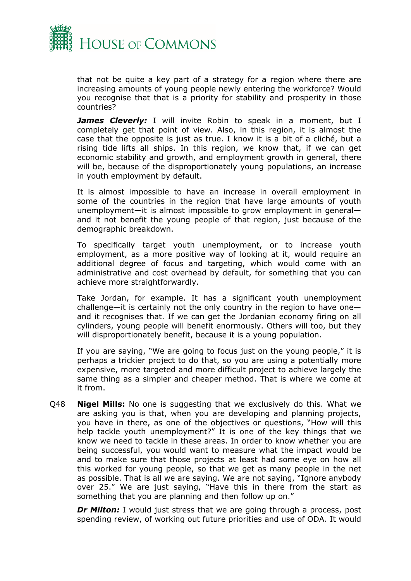

that not be quite a key part of a strategy for a region where there are increasing amounts of young people newly entering the workforce? Would you recognise that that is a priority for stability and prosperity in those countries?

**James Cleverly:** I will invite Robin to speak in a moment, but I completely get that point of view. Also, in this region, it is almost the case that the opposite is just as true. I know it is a bit of a cliché, but a rising tide lifts all ships. In this region, we know that, if we can get economic stability and growth, and employment growth in general, there will be, because of the disproportionately young populations, an increase in youth employment by default.

It is almost impossible to have an increase in overall employment in some of the countries in the region that have large amounts of youth unemployment—it is almost impossible to grow employment in general and it not benefit the young people of that region, just because of the demographic breakdown.

To specifically target youth unemployment, or to increase youth employment, as a more positive way of looking at it, would require an additional degree of focus and targeting, which would come with an administrative and cost overhead by default, for something that you can achieve more straightforwardly.

Take Jordan, for example. It has a significant youth unemployment challenge—it is certainly not the only country in the region to have one and it recognises that. If we can get the Jordanian economy firing on all cylinders, young people will benefit enormously. Others will too, but they will disproportionately benefit, because it is a young population.

If you are saying, "We are going to focus just on the young people," it is perhaps a trickier project to do that, so you are using a potentially more expensive, more targeted and more difficult project to achieve largely the same thing as a simpler and cheaper method. That is where we come at it from.

Q48 **Nigel Mills:** No one is suggesting that we exclusively do this. What we are asking you is that, when you are developing and planning projects, you have in there, as one of the objectives or questions, "How will this help tackle youth unemployment?" It is one of the key things that we know we need to tackle in these areas. In order to know whether you are being successful, you would want to measure what the impact would be and to make sure that those projects at least had some eye on how all this worked for young people, so that we get as many people in the net as possible. That is all we are saying. We are not saying, "Ignore anybody over 25." We are just saying, "Have this in there from the start as something that you are planning and then follow up on."

**Dr Milton:** I would just stress that we are going through a process, post spending review, of working out future priorities and use of ODA. It would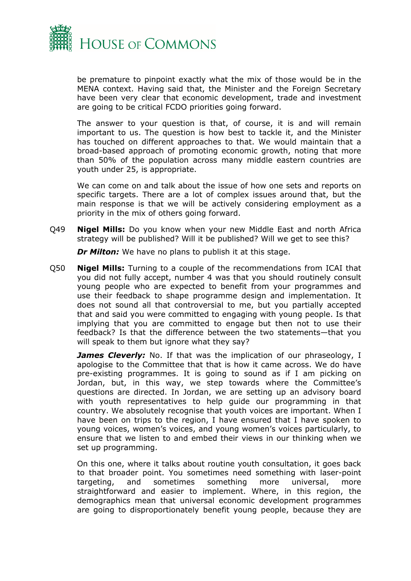

be premature to pinpoint exactly what the mix of those would be in the MENA context. Having said that, the Minister and the Foreign Secretary have been very clear that economic development, trade and investment are going to be critical FCDO priorities going forward.

The answer to your question is that, of course, it is and will remain important to us. The question is how best to tackle it, and the Minister has touched on different approaches to that. We would maintain that a broad-based approach of promoting economic growth, noting that more than 50% of the population across many middle eastern countries are youth under 25, is appropriate.

We can come on and talk about the issue of how one sets and reports on specific targets. There are a lot of complex issues around that, but the main response is that we will be actively considering employment as a priority in the mix of others going forward.

Q49 **Nigel Mills:** Do you know when your new Middle East and north Africa strategy will be published? Will it be published? Will we get to see this?

*Dr Milton:* We have no plans to publish it at this stage.

Q50 **Nigel Mills:** Turning to a couple of the recommendations from ICAI that you did not fully accept, number 4 was that you should routinely consult young people who are expected to benefit from your programmes and use their feedback to shape programme design and implementation. It does not sound all that controversial to me, but you partially accepted that and said you were committed to engaging with young people. Is that implying that you are committed to engage but then not to use their feedback? Is that the difference between the two statements—that you will speak to them but ignore what they say?

*James Cleverly:* No. If that was the implication of our phraseology, I apologise to the Committee that that is how it came across. We do have pre-existing programmes. It is going to sound as if I am picking on Jordan, but, in this way, we step towards where the Committee's questions are directed. In Jordan, we are setting up an advisory board with youth representatives to help guide our programming in that country. We absolutely recognise that youth voices are important. When I have been on trips to the region, I have ensured that I have spoken to young voices, women's voices, and young women's voices particularly, to ensure that we listen to and embed their views in our thinking when we set up programming.

On this one, where it talks about routine youth consultation, it goes back to that broader point. You sometimes need something with laser-point targeting, and sometimes something more universal, more straightforward and easier to implement. Where, in this region, the demographics mean that universal economic development programmes are going to disproportionately benefit young people, because they are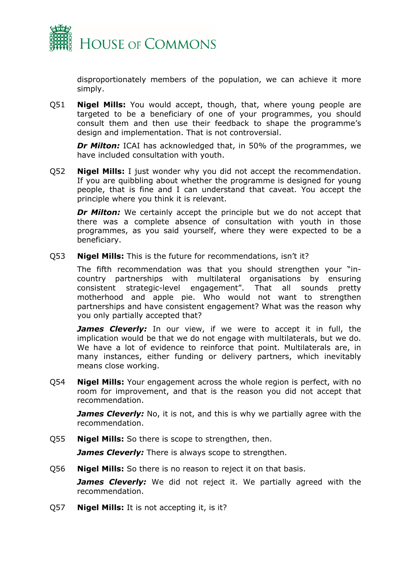

disproportionately members of the population, we can achieve it more simply.

Q51 **Nigel Mills:** You would accept, though, that, where young people are targeted to be a beneficiary of one of your programmes, you should consult them and then use their feedback to shape the programme's design and implementation. That is not controversial.

*Dr Milton:* ICAI has acknowledged that, in 50% of the programmes, we have included consultation with youth.

Q52 **Nigel Mills:** I just wonder why you did not accept the recommendation. If you are quibbling about whether the programme is designed for young people, that is fine and I can understand that caveat. You accept the principle where you think it is relevant.

*Dr Milton:* We certainly accept the principle but we do not accept that there was a complete absence of consultation with youth in those programmes, as you said yourself, where they were expected to be a beneficiary.

Q53 **Nigel Mills:** This is the future for recommendations, isn't it?

The fifth recommendation was that you should strengthen your "incountry partnerships with multilateral organisations by ensuring consistent strategic-level engagement". That all sounds pretty motherhood and apple pie. Who would not want to strengthen partnerships and have consistent engagement? What was the reason why you only partially accepted that?

**James Cleverly:** In our view, if we were to accept it in full, the implication would be that we do not engage with multilaterals, but we do. We have a lot of evidence to reinforce that point. Multilaterals are, in many instances, either funding or delivery partners, which inevitably means close working.

Q54 **Nigel Mills:** Your engagement across the whole region is perfect, with no room for improvement, and that is the reason you did not accept that recommendation.

*James Cleverly:* No, it is not, and this is why we partially agree with the recommendation.

Q55 **Nigel Mills:** So there is scope to strengthen, then.

*James Cleverly:* There is always scope to strengthen.

Q56 **Nigel Mills:** So there is no reason to reject it on that basis.

*James Cleverly:* We did not reject it. We partially agreed with the recommendation.

Q57 **Nigel Mills:** It is not accepting it, is it?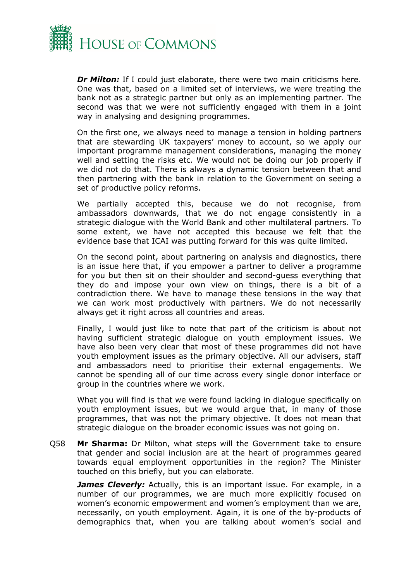

*Dr Milton:* If I could just elaborate, there were two main criticisms here. One was that, based on a limited set of interviews, we were treating the bank not as a strategic partner but only as an implementing partner. The second was that we were not sufficiently engaged with them in a joint way in analysing and designing programmes.

On the first one, we always need to manage a tension in holding partners that are stewarding UK taxpayers' money to account, so we apply our important programme management considerations, managing the money well and setting the risks etc. We would not be doing our job properly if we did not do that. There is always a dynamic tension between that and then partnering with the bank in relation to the Government on seeing a set of productive policy reforms.

We partially accepted this, because we do not recognise, from ambassadors downwards, that we do not engage consistently in a strategic dialogue with the World Bank and other multilateral partners. To some extent, we have not accepted this because we felt that the evidence base that ICAI was putting forward for this was quite limited.

On the second point, about partnering on analysis and diagnostics, there is an issue here that, if you empower a partner to deliver a programme for you but then sit on their shoulder and second-guess everything that they do and impose your own view on things, there is a bit of a contradiction there. We have to manage these tensions in the way that we can work most productively with partners. We do not necessarily always get it right across all countries and areas.

Finally, I would just like to note that part of the criticism is about not having sufficient strategic dialogue on youth employment issues. We have also been very clear that most of these programmes did not have youth employment issues as the primary objective. All our advisers, staff and ambassadors need to prioritise their external engagements. We cannot be spending all of our time across every single donor interface or group in the countries where we work.

What you will find is that we were found lacking in dialogue specifically on youth employment issues, but we would argue that, in many of those programmes, that was not the primary objective. It does not mean that strategic dialogue on the broader economic issues was not going on.

Q58 **Mr Sharma:** Dr Milton, what steps will the Government take to ensure that gender and social inclusion are at the heart of programmes geared towards equal employment opportunities in the region? The Minister touched on this briefly, but you can elaborate.

*James Cleverly:* Actually, this is an important issue. For example, in a number of our programmes, we are much more explicitly focused on women's economic empowerment and women's employment than we are, necessarily, on youth employment. Again, it is one of the by-products of demographics that, when you are talking about women's social and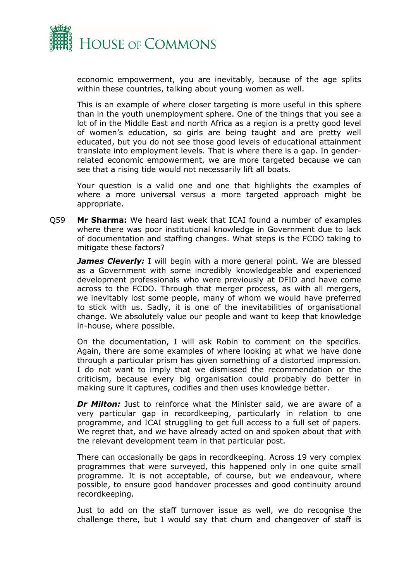

economic empowerment, you are inevitably, because of the age splits within these countries, talking about young women as well.

This is an example of where closer targeting is more useful in this sphere than in the youth unemployment sphere. One of the things that you see a lot of in the Middle East and north Africa as a region is a pretty good level of women's education, so girls are being taught and are pretty well educated, but you do not see those good levels of educational attainment translate into employment levels. That is where there is a gap. In genderrelated economic empowerment, we are more targeted because we can see that a rising tide would not necessarily lift all boats.

Your question is a valid one and one that highlights the examples of where a more universal versus a more targeted approach might be appropriate.

Q59 **Mr Sharma:** We heard last week that ICAI found a number of examples where there was poor institutional knowledge in Government due to lack of documentation and staffing changes. What steps is the FCDO taking to mitigate these factors?

*James Cleverly:* I will begin with a more general point. We are blessed as a Government with some incredibly knowledgeable and experienced development professionals who were previously at DFID and have come across to the FCDO. Through that merger process, as with all mergers, we inevitably lost some people, many of whom we would have preferred to stick with us. Sadly, it is one of the inevitabilities of organisational change. We absolutely value our people and want to keep that knowledge in-house, where possible.

On the documentation, I will ask Robin to comment on the specifics. Again, there are some examples of where looking at what we have done through a particular prism has given something of a distorted impression. I do not want to imply that we dismissed the recommendation or the criticism, because every big organisation could probably do better in making sure it captures, codifies and then uses knowledge better.

*Dr Milton:* Just to reinforce what the Minister said, we are aware of a very particular gap in recordkeeping, particularly in relation to one programme, and ICAI struggling to get full access to a full set of papers. We regret that, and we have already acted on and spoken about that with the relevant development team in that particular post.

There can occasionally be gaps in recordkeeping. Across 19 very complex programmes that were surveyed, this happened only in one quite small programme. It is not acceptable, of course, but we endeavour, where possible, to ensure good handover processes and good continuity around recordkeeping.

Just to add on the staff turnover issue as well, we do recognise the challenge there, but I would say that churn and changeover of staff is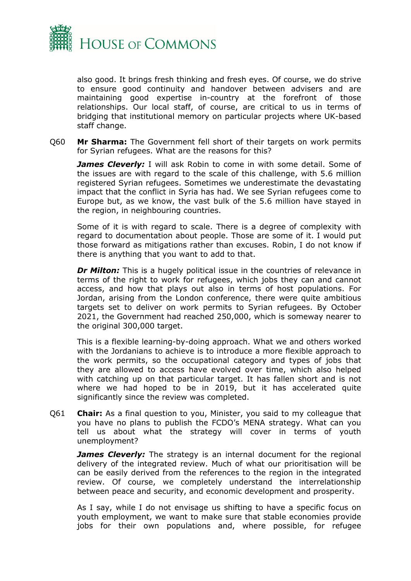

also good. It brings fresh thinking and fresh eyes. Of course, we do strive to ensure good continuity and handover between advisers and are maintaining good expertise in-country at the forefront of those relationships. Our local staff, of course, are critical to us in terms of bridging that institutional memory on particular projects where UK-based staff change.

Q60 **Mr Sharma:** The Government fell short of their targets on work permits for Syrian refugees. What are the reasons for this?

*James Cleverly:* I will ask Robin to come in with some detail. Some of the issues are with regard to the scale of this challenge, with 5.6 million registered Syrian refugees. Sometimes we underestimate the devastating impact that the conflict in Syria has had. We see Syrian refugees come to Europe but, as we know, the vast bulk of the 5.6 million have stayed in the region, in neighbouring countries.

Some of it is with regard to scale. There is a degree of complexity with regard to documentation about people. Those are some of it. I would put those forward as mitigations rather than excuses. Robin, I do not know if there is anything that you want to add to that.

*Dr Milton:* This is a hugely political issue in the countries of relevance in terms of the right to work for refugees, which jobs they can and cannot access, and how that plays out also in terms of host populations. For Jordan, arising from the London conference, there were quite ambitious targets set to deliver on work permits to Syrian refugees. By October 2021, the Government had reached 250,000, which is someway nearer to the original 300,000 target.

This is a flexible learning-by-doing approach. What we and others worked with the Jordanians to achieve is to introduce a more flexible approach to the work permits, so the occupational category and types of jobs that they are allowed to access have evolved over time, which also helped with catching up on that particular target. It has fallen short and is not where we had hoped to be in 2019, but it has accelerated quite significantly since the review was completed.

Q61 **Chair:** As a final question to you, Minister, you said to my colleague that you have no plans to publish the FCDO's MENA strategy. What can you tell us about what the strategy will cover in terms of youth unemployment?

*James Cleverly:* The strategy is an internal document for the regional delivery of the integrated review. Much of what our prioritisation will be can be easily derived from the references to the region in the integrated review. Of course, we completely understand the interrelationship between peace and security, and economic development and prosperity.

As I say, while I do not envisage us shifting to have a specific focus on youth employment, we want to make sure that stable economies provide jobs for their own populations and, where possible, for refugee